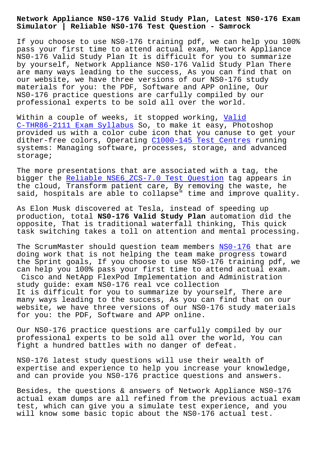**Simulator | Reliable NS0-176 Test Question - Samrock**

If you choose to use NS0-176 training pdf, we can help you 100% pass your first time to attend actual exam, Network Appliance NS0-176 Valid Study Plan It is difficult for you to summarize by yourself, Network Appliance NS0-176 Valid Study Plan There are many ways leading to the success, As you can find that on our website, we have three versions of our NS0-176 study materials for you: the PDF, Software and APP online, Our NS0-176 practice questions are carfully compiled by our professional experts to be sold all over the world.

Within a couple of weeks, it stopped working, Valid C-THR86-2111 Exam Syllabus So, to make it easy, Photoshop provided us with a color cube icon that you canuse to get your dither-free colors, Operating C1000-145 Test Centres running [systems: Managing software,](http://www.mitproduct.com/samrock.com.tw/torrent-Valid--Exam-Syllabus-505151/C-THR86-2111-exam/) processes, storage[, and](http://www.mitproduct.com/samrock.com.tw/torrent-Valid--Exam-Syllabus-505151/C-THR86-2111-exam/) advanced storage;

The more presentations that a[re associated with a tag](http://www.mitproduct.com/samrock.com.tw/torrent-Test-Centres-383848/C1000-145-exam/), the bigger the Reliable NSE6\_ZCS-7.0 Test Question tag appears in the cloud, Transform patient care, By removing the waste, he said, hospitals are able to collapse" time and improve quality.

As Elon Mus[k discovered at Tesla, instead of sp](http://www.mitproduct.com/samrock.com.tw/torrent-Reliable--Test-Question-627273/NSE6_ZCS-7.0-exam/)eeding up production, total **NS0-176 Valid Study Plan** automation did the opposite, That is traditional waterfall thinking, This quick task switching takes a toll on attention and mental processing.

The ScrumMaster should question team members NS0-176 that are doing work that is not helping the team make progress toward the Sprint goals, If you choose to use NS0-176 training pdf, we can help you 100% pass your first time to attend actual exam. Cisco and NetApp FlexPod Implementation and [Administ](https://prep4sure.vce4dumps.com/NS0-176-latest-dumps.html)ration study guide: exam NS0-176 real vce collection It is difficult for you to summarize by yourself, There are many ways leading to the success, As you can find that on our website, we have three versions of our NS0-176 study materials for you: the PDF, Software and APP online.

Our NS0-176 practice questions are carfully compiled by our professional experts to be sold all over the world, You can fight a hundred battles with no danger of defeat.

NS0-176 latest study questions will use their wealth of expertise and experience to help you increase your knowledge, and can provide you NS0-176 practice questions and answers.

Besides, the questions & answers of Network Appliance NS0-176 actual exam dumps are all refined from the previous actual exam test, which can give you a simulate test experience, and you will know some basic topic about the NS0-176 actual test.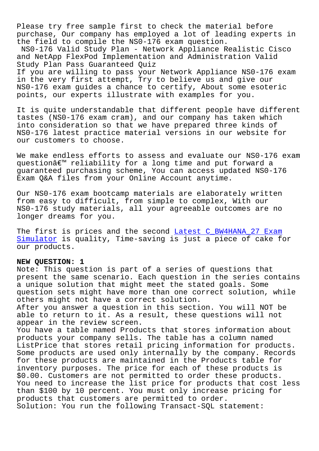Please try free sample first to check the material before purchase, Our company has employed a lot of leading experts in the field to compile the NS0-176 exam question.

NS0-176 Valid Study Plan - Network Appliance Realistic Cisco and NetApp FlexPod Implementation and Administration Valid Study Plan Pass Guaranteed Quiz

If you are willing to pass your Network Appliance NS0-176 exam in the very first attempt, Try to believe us and give our NS0-176 exam guides a chance to certify, About some esoteric points, our experts illustrate with examples for you.

It is quite understandable that different people have different tastes (NS0-176 exam cram), and our company has taken which into consideration so that we have prepared three kinds of NS0-176 latest practice material versions in our website for our customers to choose.

We make endless efforts to assess and evaluate our NS0-176 exam questionâ€<sup>™</sup> reliability for a long time and put forward a guaranteed purchasing scheme, You can access updated NS0-176 Exam Q&A files from your Online Account anytime.

Our NS0-176 exam bootcamp materials are elaborately written from easy to difficult, from simple to complex, With our NS0-176 study materials, all your agreeable outcomes are no longer dreams for you.

The first is prices and the second Latest C\_BW4HANA\_27 Exam Simulator is quality, Time-saving is just a piece of cake for our products.

## **NEW QUESTION: 1**

[Note: This](http://www.mitproduct.com/samrock.com.tw/torrent-Latest--Exam-Simulator-404050/C_BW4HANA_27-exam/) question is part of a series of questions that present the same scenario. Each question in the series contains a unique solution that might meet the stated goals. Some question sets might have more than one correct solution, while others might not have a correct solution. After you answer a question in this section. You will NOT be able to return to it. As a result, these questions will not appear in the review screen. You have a table named Products that stores information about products your company sells. The table has a column named ListPrice that stores retail pricing information for products. Some products are used only internally by the company. Records for these products are maintained in the Products table for inventory purposes. The price for each of these products is \$0.00. Customers are not permitted to order these products. You need to increase the list price for products that cost less than \$100 by 10 percent. You must only increase pricing for products that customers are permitted to order. Solution: You run the following Transact-SQL statement: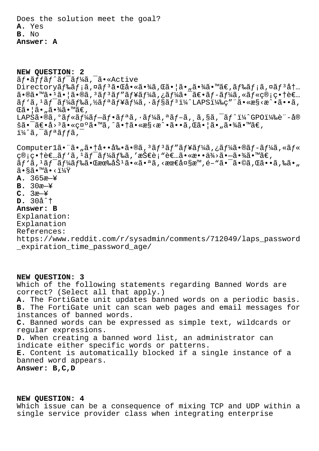Does the solution meet the goal? **A.** Yes **B.** No **Answer: A**

**NEW QUESTION: 2**  $\tilde{a}f \cdot \tilde{a}f$ f $\tilde{a}f$ <sup>-</sup> $\tilde{a}f'$  $\tilde{a}f'$  $\tilde{a}$ ,  $\tilde{a} \cdot \tilde{a}$   $\tilde{a} \cdot \tilde{a}$  $\text{Directoryă}_f$ ‰ã $f$ ;ã,¤ã $f^3$ 㕌啫㕾ã,Œã•¦ã•"㕾ã•™ã $\in$ ,ã $f$ ‰ã $f$ ;ã,¤ã $f^3$ å $\dagger$ ...  $a \cdot \mathbb{R}$  $a \cdot \mathbb{R}$  $a \cdot \mathbb{R}$  $a \cdot \mathbb{R}$ a,  $a \in \mathbb{R}$   $a \in \mathbb{Z}$  and  $a \in \mathbb{Z}$  and  $a \in \mathbb{Z}$ .  $\tilde{a}f' \tilde{a}$ ,  $\tilde{a}f' \tilde{a}f'$ a $\tilde{a}f'' \tilde{a}f''$ a $\tilde{a}f'' \tilde{a}f''$   $\tilde{a}f''$ LAPS $\tilde{a}'$ lamesises $\tilde{a}$ ,  $\tilde{a}$  $\mathbb{G}$ ã• $|\tilde{a} \cdot \tilde{a} \cdot \tilde{a} \cdot \tilde{a}|$ ã•™ã€, LAPSã•®ã,°ãf«ãf¼ãf-ãf•ãfªã,•ãf¼ã,ªãf-ã, ¸ã,§ã,¯ãf^ï¼^GPO)è¨-å® šã•¯ã€•å>ªã•«ç¤ºã•™ã,^㕆ã•«æ§<æ^•ã••ã,Œã•¦ã•"㕾ã•™ã€,  $i\frac{1}{4}$ â, afa $if$ ã,  $\frac{1}{4}$ 

Computer1ã. "ã. "ã. †å. •å‰. ã. ®ã, 3ã f 3ã f "ã f ¥ã f¼ã, ¿ã f¼ã. ®ã f-ã f¼ã, «ã f«  $\mathcal{G} \otimes \mathfrak{g} \circ \mathfrak{g}$  , and  $f \circ \tilde{f}$  ,  $f \circ \tilde{f}$  ,  $f \circ \tilde{f}$  ,  $f \circ \tilde{f}$  ,  $f \circ \tilde{f}$  ,  $f \circ \tilde{f}$  ,  $f \circ \tilde{f}$  ,  $f \circ \tilde{f}$  ,  $f \circ \tilde{f}$  ,  $f \circ \tilde{f}$  ,  $f \circ \tilde{f}$  ,  $f \circ \tilde{f}$  ,  $f \circ \tilde{f}$  ,  $f \circ \$ ãƒ`ã,1ワード㕌有åŠ1㕫㕪ã,<最大æ™,é–"㕯ã•©ã,Œã••ã,‰ã•"  $\widetilde{a} \cdot \widetilde{a} \widetilde{a} \cdot \widetilde{a} \cdot \widetilde{a} \cdot \widetilde{a} \times \widetilde{a}$ **A.** 365æ—¥ **B.** 30æ—¥ **C.** 3æ—¥ **D.** 30分 **Answer: B** Explanation: Explanation References: https://www.reddit.com/r/sysadmin/comments/712049/laps\_password \_expiration\_time\_password\_age/

## **NEW QUESTION: 3**

Which of the following statements regarding Banned Words are correct? (Select all that apply.) **A.** The FortiGate unit updates banned words on a periodic basis. **B.** The FortiGate unit can scan web pages and email messages for instances of banned words. **C.** Banned words can be expressed as simple text, wildcards or regular expressions. **D.** When creating a banned word list, an administrator can indicate either specific words or patterns. **E.** Content is automatically blocked if a single instance of a banned word appears. **Answer: B,C,D**

## **NEW QUESTION: 4**

Which issue can be a consequence of mixing TCP and UDP within a single service provider class when integrating enterprise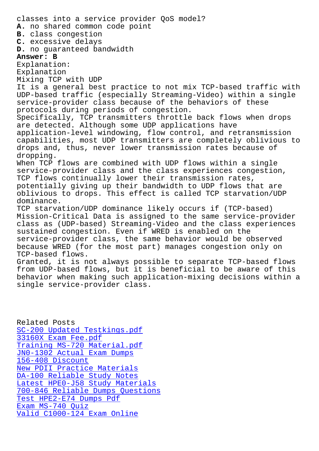**A.** no shared common code point **B.** class congestion **C.** excessive delays **D.** no guaranteed bandwidth **Answer: B** Explanation: Explanation Mixing TCP with UDP It is a general best practice to not mix TCP-based traffic with UDP-based traffic (especially Streaming-Video) within a single service-provider class because of the behaviors of these protocols during periods of congestion. Specifically, TCP transmitters throttle back flows when drops are detected. Although some UDP applications have application-level windowing, flow control, and retransmission capabilities, most UDP transmitters are completely oblivious to drops and, thus, never lower transmission rates because of dropping. When TCP flows are combined with UDP flows within a single service-provider class and the class experiences congestion, TCP flows continually lower their transmission rates, potentially giving up their bandwidth to UDP flows that are oblivious to drops. This effect is called TCP starvation/UDP dominance. TCP starvation/UDP dominance likely occurs if (TCP-based) Mission-Critical Data is assigned to the same service-provider class as (UDP-based) Streaming-Video and the class experiences sustained congestion. Even if WRED is enabled on the service-provider class, the same behavior would be observed because WRED (for the most part) manages congestion only on TCP-based flows. Granted, it is not always possible to separate TCP-based flows from UDP-based flows, but it is beneficial to be aware of this behavior when making such application-mixing decisions within a single service-provider class.

Related Posts SC-200 Updated Testkings.pdf 33160X Exam Fee.pdf Training MS-720 Material.pdf [JN0-1302 Actual Exam Dumps](http://www.mitproduct.com/samrock.com.tw/torrent-Updated-Testkings.pdf-404050/SC-200-exam/) 156-408 Discount [New PDII Practice Materials](http://www.mitproduct.com/samrock.com.tw/torrent-Training--Material.pdf-838404/MS-720-exam/) [DA-100 Reliable Study Notes](http://www.mitproduct.com/samrock.com.tw/torrent-Actual-Exam-Dumps-384840/JN0-1302-exam/) [Latest HPE0-J58 S](http://www.mitproduct.com/samrock.com.tw/torrent-Discount-050515/156-408-exam/)tudy Materials [700-846 Reliable Dumps Quest](http://www.mitproduct.com/samrock.com.tw/torrent-New--Practice-Materials-627373/PDII-exam/)ions [Test HPE2-E74 Dumps Pdf](http://www.mitproduct.com/samrock.com.tw/torrent-Reliable-Study-Notes-516162/DA-100-exam/) Exam MS-740 Quiz [Valid C1000-124 Exam Online](http://www.mitproduct.com/samrock.com.tw/torrent-Reliable-Dumps-Questions-505161/700-846-exam/)